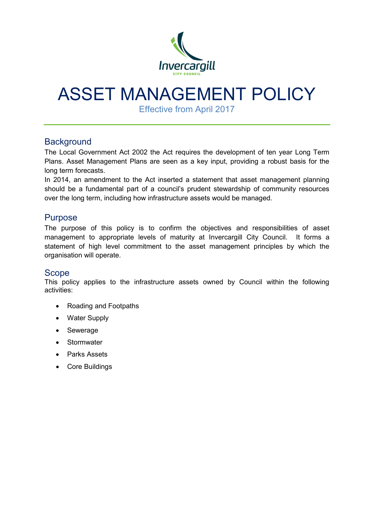

# ASSET MANAGEMENT POLICY

Effective from April 2017

## **Background**

The Local Government Act 2002 the Act requires the development of ten year Long Term Plans. Asset Management Plans are seen as a key input, providing a robust basis for the long term forecasts.

In 2014, an amendment to the Act inserted a statement that asset management planning should be a fundamental part of a council's prudent stewardship of community resources over the long term, including how infrastructure assets would be managed.

## Purpose

The purpose of this policy is to confirm the objectives and responsibilities of asset management to appropriate levels of maturity at Invercargill City Council. It forms a statement of high level commitment to the asset management principles by which the organisation will operate.

## Scope

This policy applies to the infrastructure assets owned by Council within the following activities:

- Roading and Footpaths
- Water Supply
- Sewerage
- Stormwater
- Parks Assets
- Core Buildings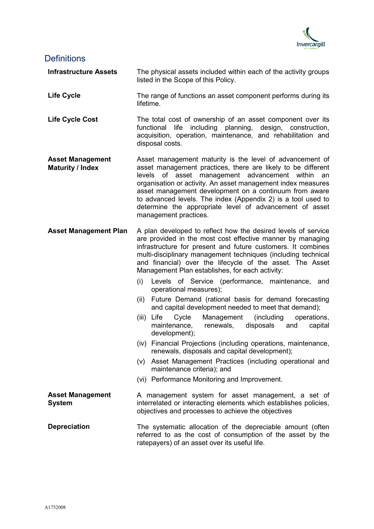

#### **Definitions**

**Infrastructure Assets** The physical assets included within each of the activity groups listed in the Scope of this Policy.

- **Life Cycle** The range of functions an asset component performs during its lifetime.
- Life Cycle Cost The total cost of ownership of an asset component over its functional life including planning, design, construction, acquisition, operation, maintenance, and rehabilitation and disposal costs.
- **Asset Management Maturity / Index** Asset management maturity is the level of advancement of asset management practices, there are likely to be different levels of asset management advancement within an organisation or activity. An asset management index measures asset management development on a continuum from aware to advanced levels. The index (Appendix 2) is a tool used to determine the appropriate level of advancement of asset management practices.
- **Asset Management Plan** A plan developed to reflect how the desired levels of service are provided in the most cost effective manner by managing infrastructure for present and future customers. It combines multi-disciplinary management techniques (including technical and financial) over the lifecycle of the asset. The Asset Management Plan establishes, for each activity:
	- (i) Levels of Service (performance, maintenance, and operational measures);
	- (ii) Future Demand (rational basis for demand forecasting and capital development needed to meet that demand);
	- (iii) Life Cycle Management (including operations, maintenance, renewals, disposals and capital development);
	- (iv) Financial Projections (including operations, maintenance, renewals, disposals and capital development);
	- (v) Asset Management Practices (including operational and maintenance criteria); and
	- (vi) Performance Monitoring and Improvement.

**Asset Management System** A management system for asset management, a set of interrelated or interacting elements which establishes policies, objectives and processes to achieve the objectives

**Depreciation** The systematic allocation of the depreciable amount (often referred to as the cost of consumption of the asset by the ratepayers) of an asset over its useful life.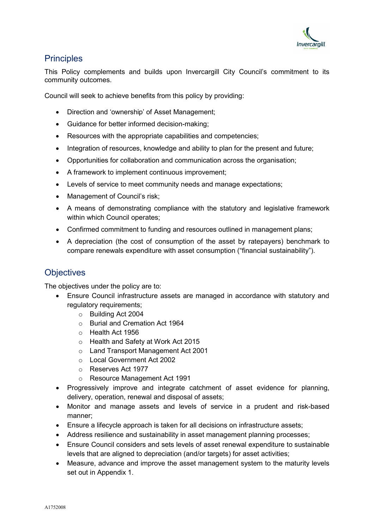

## **Principles**

This Policy complements and builds upon Invercargill City Council's commitment to its community outcomes.

Council will seek to achieve benefits from this policy by providing:

- Direction and 'ownership' of Asset Management;
- Guidance for better informed decision-making;
- Resources with the appropriate capabilities and competencies;
- Integration of resources, knowledge and ability to plan for the present and future;
- Opportunities for collaboration and communication across the organisation;
- A framework to implement continuous improvement;
- Levels of service to meet community needs and manage expectations;
- Management of Council's risk;
- A means of demonstrating compliance with the statutory and legislative framework within which Council operates;
- Confirmed commitment to funding and resources outlined in management plans;
- A depreciation (the cost of consumption of the asset by ratepayers) benchmark to compare renewals expenditure with asset consumption ("financial sustainability").

## **Objectives**

The objectives under the policy are to:

- Ensure Council infrastructure assets are managed in accordance with statutory and regulatory requirements;
	- o Building Act 2004
	- o Burial and Cremation Act 1964
	- o Health Act 1956
	- o Health and Safety at Work Act 2015
	- o Land Transport Management Act 2001
	- o Local Government Act 2002
	- o Reserves Act 1977
	- o Resource Management Act 1991
- Progressively improve and integrate catchment of asset evidence for planning, delivery, operation, renewal and disposal of assets;
- Monitor and manage assets and levels of service in a prudent and risk-based manner;
- Ensure a lifecycle approach is taken for all decisions on infrastructure assets;
- Address resilience and sustainability in asset management planning processes;
- Ensure Council considers and sets levels of asset renewal expenditure to sustainable levels that are aligned to depreciation (and/or targets) for asset activities;
- Measure, advance and improve the asset management system to the maturity levels set out in Appendix 1.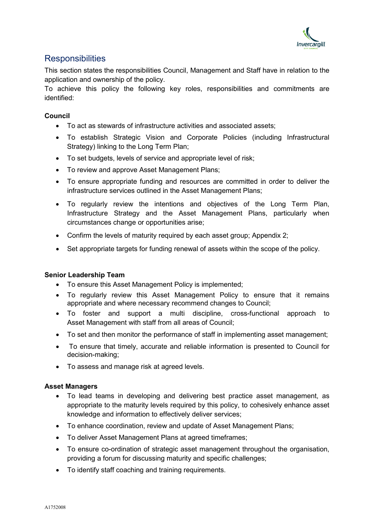

## **Responsibilities**

This section states the responsibilities Council, Management and Staff have in relation to the application and ownership of the policy.

To achieve this policy the following key roles, responsibilities and commitments are identified:

#### **Council**

- To act as stewards of infrastructure activities and associated assets;
- To establish Strategic Vision and Corporate Policies (including Infrastructural Strategy) linking to the Long Term Plan;
- To set budgets, levels of service and appropriate level of risk;
- To review and approve Asset Management Plans;
- To ensure appropriate funding and resources are committed in order to deliver the infrastructure services outlined in the Asset Management Plans;
- To regularly review the intentions and objectives of the Long Term Plan, Infrastructure Strategy and the Asset Management Plans, particularly when circumstances change or opportunities arise;
- Confirm the levels of maturity required by each asset group; Appendix 2;
- Set appropriate targets for funding renewal of assets within the scope of the policy.

#### **Senior Leadership Team**

- To ensure this Asset Management Policy is implemented;
- To regularly review this Asset Management Policy to ensure that it remains appropriate and where necessary recommend changes to Council;
- To foster and support a multi discipline, cross-functional approach to Asset Management with staff from all areas of Council;
- To set and then monitor the performance of staff in implementing asset management;
- To ensure that timely, accurate and reliable information is presented to Council for decision-making;
- To assess and manage risk at agreed levels.

#### **Asset Managers**

- To lead teams in developing and delivering best practice asset management, as appropriate to the maturity levels required by this policy, to cohesively enhance asset knowledge and information to effectively deliver services;
- To enhance coordination, review and update of Asset Management Plans;
- To deliver Asset Management Plans at agreed timeframes;
- To ensure co-ordination of strategic asset management throughout the organisation, providing a forum for discussing maturity and specific challenges;
- To identify staff coaching and training requirements.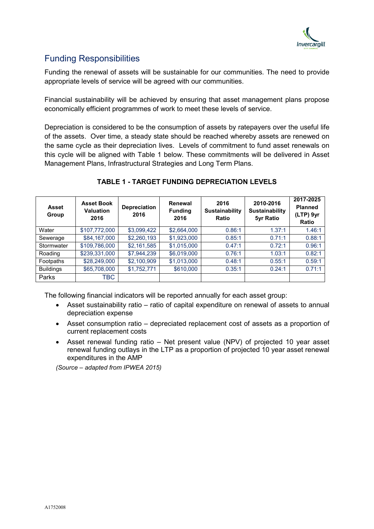

## Funding Responsibilities

Funding the renewal of assets will be sustainable for our communities. The need to provide appropriate levels of service will be agreed with our communities.

Financial sustainability will be achieved by ensuring that asset management plans propose economically efficient programmes of work to meet these levels of service.

Depreciation is considered to be the consumption of assets by ratepayers over the useful life of the assets. Over time, a steady state should be reached whereby assets are renewed on the same cycle as their depreciation lives. Levels of commitment to fund asset renewals on this cycle will be aligned with Table 1 below. These commitments will be delivered in Asset Management Plans, Infrastructural Strategies and Long Term Plans.

| <b>Asset</b><br>Group | <b>Asset Book</b><br><b>Valuation</b><br>2016 | <b>Depreciation</b><br>2016 | Renewal<br><b>Funding</b><br>2016 | 2016<br><b>Sustainability</b><br>Ratio | 2010-2016<br><b>Sustainability</b><br>5yr Ratio | 2017-2025<br><b>Planned</b><br>(LTP) 9yr<br>Ratio |
|-----------------------|-----------------------------------------------|-----------------------------|-----------------------------------|----------------------------------------|-------------------------------------------------|---------------------------------------------------|
| Water                 | \$107,772,000                                 | \$3,099,422                 | \$2,664,000                       | 0.86:1                                 | 1.37:1                                          | 1.46:1                                            |
| Sewerage              | \$84,167,000                                  | \$2,260,193                 | \$1,923,000                       | 0.85:1                                 | 0.71:1                                          | 0.88:1                                            |
| Stormwater            | \$109,786,000                                 | \$2,161,585                 | \$1,015,000                       | 0.47:1                                 | 0.72:1                                          | 0.96:1                                            |
| Roading               | \$239,331,000                                 | \$7.944.239                 | \$6,019,000                       | 0.76:1                                 | 1.03:1                                          | 0.82:1                                            |
| Footpaths             | \$28,249,000                                  | \$2,100,909                 | \$1,013,000                       | 0.48:1                                 | 0.55:1                                          | 0.59:1                                            |
| <b>Buildings</b>      | \$65,708,000                                  | \$1,752,771                 | \$610,000                         | 0.35:1                                 | 0.24:1                                          | 0.71:1                                            |
| Parks                 | TBC                                           |                             |                                   |                                        |                                                 |                                                   |

#### **TABLE 1 - TARGET FUNDING DEPRECIATION LEVELS**

The following financial indicators will be reported annually for each asset group:

- Asset sustainability ratio ratio of capital expenditure on renewal of assets to annual depreciation expense
- Asset consumption ratio depreciated replacement cost of assets as a proportion of current replacement costs
- Asset renewal funding ratio Net present value (NPV) of projected 10 year asset renewal funding outlays in the LTP as a proportion of projected 10 year asset renewal expenditures in the AMP

*(Source – adapted from IPWEA 2015)*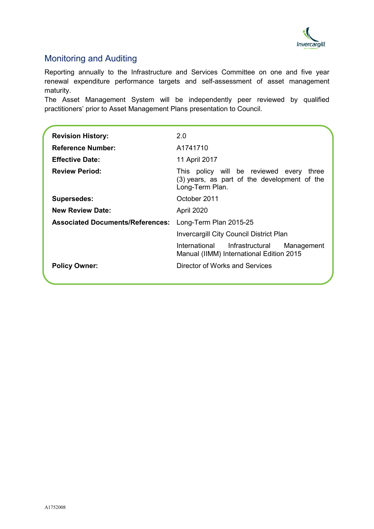

## Monitoring and Auditing

Reporting annually to the Infrastructure and Services Committee on one and five year renewal expenditure performance targets and self-assessment of asset management maturity.

The Asset Management System will be independently peer reviewed by qualified practitioners' prior to Asset Management Plans presentation to Council.

| <b>Revision History:</b>                | 2.0                                                                                                            |  |  |  |
|-----------------------------------------|----------------------------------------------------------------------------------------------------------------|--|--|--|
| <b>Reference Number:</b>                | A1741710                                                                                                       |  |  |  |
| <b>Effective Date:</b>                  | 11 April 2017                                                                                                  |  |  |  |
| <b>Review Period:</b>                   | This policy will be reviewed every<br>three<br>(3) years, as part of the development of the<br>Long-Term Plan. |  |  |  |
| <b>Supersedes:</b>                      | October 2011                                                                                                   |  |  |  |
| <b>New Review Date:</b>                 | April 2020                                                                                                     |  |  |  |
| <b>Associated Documents/References:</b> | Long-Term Plan 2015-25                                                                                         |  |  |  |
|                                         | Invercargill City Council District Plan                                                                        |  |  |  |
|                                         | International Infrastructural<br>Management<br>Manual (IIMM) International Edition 2015                        |  |  |  |
| <b>Policy Owner:</b>                    | Director of Works and Services                                                                                 |  |  |  |
|                                         |                                                                                                                |  |  |  |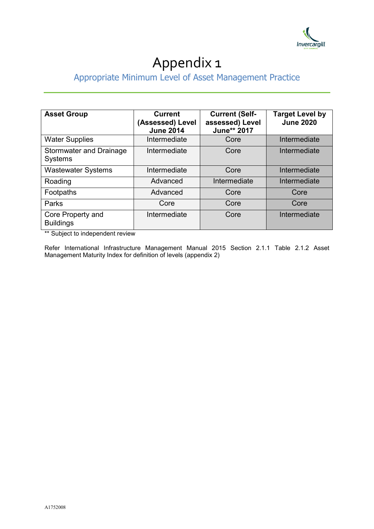

# Appendix 1

## Appropriate Minimum Level of Asset Management Practice

| <b>Asset Group</b>                               | <b>Current</b><br>(Assessed) Level<br><b>June 2014</b> | <b>Current (Self-</b><br>assessed) Level<br>June** 2017 | <b>Target Level by</b><br><b>June 2020</b> |
|--------------------------------------------------|--------------------------------------------------------|---------------------------------------------------------|--------------------------------------------|
| <b>Water Supplies</b>                            | Intermediate                                           | Core                                                    | Intermediate                               |
| <b>Stormwater and Drainage</b><br><b>Systems</b> | Intermediate                                           | Core                                                    | Intermediate                               |
| <b>Wastewater Systems</b>                        | Intermediate                                           | Core                                                    | Intermediate                               |
| Roading                                          | Advanced                                               | Intermediate                                            | Intermediate                               |
| Footpaths                                        | Advanced                                               | Core                                                    | Core                                       |
| Parks                                            | Core                                                   | Core                                                    | Core                                       |
| Core Property and<br><b>Buildings</b>            | Intermediate                                           | Core                                                    | Intermediate                               |

\*\* Subject to independent review

Refer International Infrastructure Management Manual 2015 Section 2.1.1 Table 2.1.2 Asset Management Maturity Index for definition of levels (appendix 2)